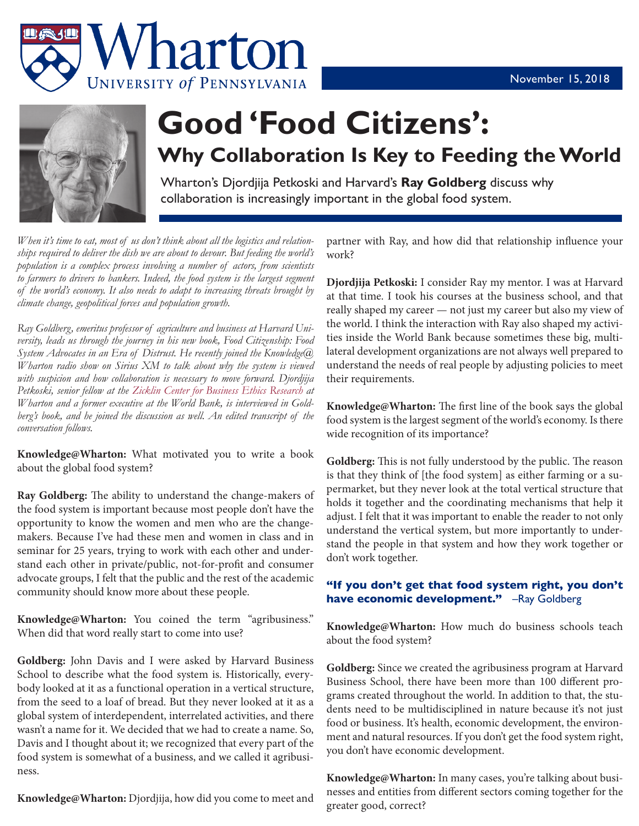



## **Good 'Food Citizens': Why Collaboration Is Key to Feeding the World**

Wharton's Djordjija Petkoski and Harvard's **Ray Goldberg** discuss why collaboration is increasingly important in the global food system.

*When it's time to eat, most of us don't think about all the logistics and relationships required to deliver the dish we are about to devour. But feeding the world's population is a complex process involving a number of actors, from scientists*  to farmers to drivers to bankers. Indeed, the food system is the largest segment *of the world's economy. It also needs to adapt to increasing threats brought by climate change, geopolitical forces and population growth.*

*Ray Goldberg, emeritus professor of agriculture and business at Harvard University, leads us through the journey in his new book, Food Citizenship: Food System Advocates in an Era of Distrust. He recently joined the Knowledge@ Wharton radio show on Sirius XM to talk about why the system is viewed with suspicion and how collaboration is necessary to move forward. Djordjija Petkoski, senior fellow at the Zicklin Center for Business Ethics Research at Wharton and a former executive at the World Bank, is interviewed in Goldberg's book, and he joined the discussion as well. An edited transcript of the conversation follows.*

**Knowledge@Wharton:** What motivated you to write a book about the global food system?

**Ray Goldberg:** The ability to understand the change-makers of the food system is important because most people don't have the opportunity to know the women and men who are the changemakers. Because I've had these men and women in class and in seminar for 25 years, trying to work with each other and understand each other in private/public, not-for-profit and consumer advocate groups, I felt that the public and the rest of the academic community should know more about these people.

**Knowledge@Wharton:** You coined the term "agribusiness." When did that word really start to come into use?

**Goldberg:** John Davis and I were asked by Harvard Business School to describe what the food system is. Historically, everybody looked at it as a functional operation in a vertical structure, from the seed to a loaf of bread. But they never looked at it as a global system of interdependent, interrelated activities, and there wasn't a name for it. We decided that we had to create a name. So, Davis and I thought about it; we recognized that every part of the food system is somewhat of a business, and we called it agribusiness.

**Knowledge@Wharton:** Djordjija, how did you come to meet and

partner with Ray, and how did that relationship influence your work?

**Djordjija Petkoski:** I consider Ray my mentor. I was at Harvard at that time. I took his courses at the business school, and that really shaped my career — not just my career but also my view of the world. I think the interaction with Ray also shaped my activities inside the World Bank because sometimes these big, multilateral development organizations are not always well prepared to understand the needs of real people by adjusting policies to meet their requirements.

**Knowledge@Wharton:** The first line of the book says the global food system is the largest segment of the world's economy. Is there wide recognition of its importance?

**Goldberg:** This is not fully understood by the public. The reason is that they think of [the food system] as either farming or a supermarket, but they never look at the total vertical structure that holds it together and the coordinating mechanisms that help it adjust. I felt that it was important to enable the reader to not only understand the vertical system, but more importantly to understand the people in that system and how they work together or don't work together.

## **"If you don't get that food system right, you don't have economic development."** –Ray Goldberg

**Knowledge@Wharton:** How much do business schools teach about the food system?

**Goldberg:** Since we created the agribusiness program at Harvard Business School, there have been more than 100 different programs created throughout the world. In addition to that, the students need to be multidisciplined in nature because it's not just food or business. It's health, economic development, the environment and natural resources. If you don't get the food system right, you don't have economic development.

**Knowledge@Wharton:** In many cases, you're talking about businesses and entities from different sectors coming together for the greater good, correct?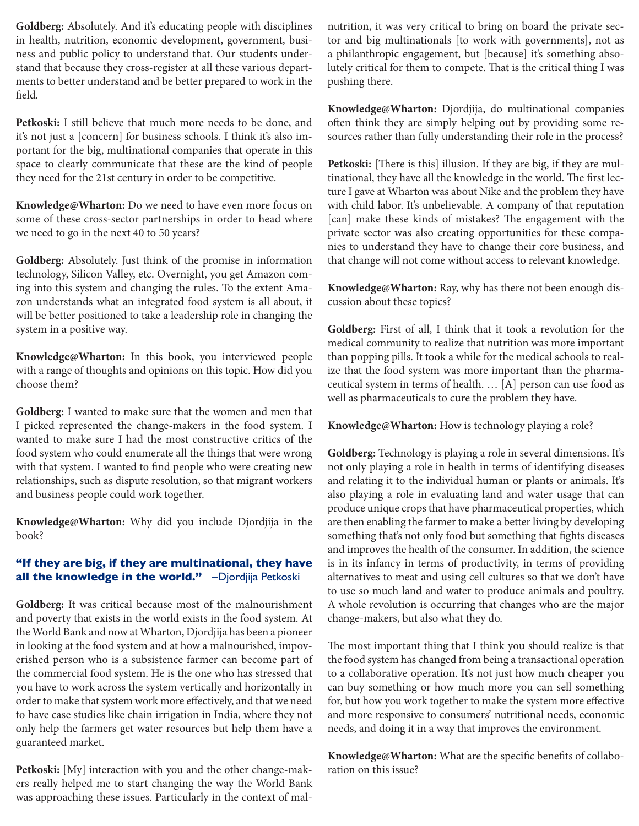**Goldberg:** Absolutely. And it's educating people with disciplines in health, nutrition, economic development, government, business and public policy to understand that. Our students understand that because they cross-register at all these various departments to better understand and be better prepared to work in the field.

**Petkoski:** I still believe that much more needs to be done, and it's not just a [concern] for business schools. I think it's also important for the big, multinational companies that operate in this space to clearly communicate that these are the kind of people they need for the 21st century in order to be competitive.

**Knowledge@Wharton:** Do we need to have even more focus on some of these cross-sector partnerships in order to head where we need to go in the next 40 to 50 years?

**Goldberg:** Absolutely. Just think of the promise in information technology, Silicon Valley, etc. Overnight, you get Amazon coming into this system and changing the rules. To the extent Amazon understands what an integrated food system is all about, it will be better positioned to take a leadership role in changing the system in a positive way.

**Knowledge@Wharton:** In this book, you interviewed people with a range of thoughts and opinions on this topic. How did you choose them?

**Goldberg:** I wanted to make sure that the women and men that I picked represented the change-makers in the food system. I wanted to make sure I had the most constructive critics of the food system who could enumerate all the things that were wrong with that system. I wanted to find people who were creating new relationships, such as dispute resolution, so that migrant workers and business people could work together.

**Knowledge@Wharton:** Why did you include Djordjija in the book?

## **"If they are big, if they are multinational, they have all the knowledge in the world."** –Djordjija Petkoski

**Goldberg:** It was critical because most of the malnourishment and poverty that exists in the world exists in the food system. At the World Bank and now at Wharton, Djordjija has been a pioneer in looking at the food system and at how a malnourished, impoverished person who is a subsistence farmer can become part of the commercial food system. He is the one who has stressed that you have to work across the system vertically and horizontally in order to make that system work more effectively, and that we need to have case studies like chain irrigation in India, where they not only help the farmers get water resources but help them have a guaranteed market.

**Petkoski:** [My] interaction with you and the other change-makers really helped me to start changing the way the World Bank was approaching these issues. Particularly in the context of malnutrition, it was very critical to bring on board the private sector and big multinationals [to work with governments], not as a philanthropic engagement, but [because] it's something absolutely critical for them to compete. That is the critical thing I was pushing there.

**Knowledge@Wharton:** Djordjija, do multinational companies often think they are simply helping out by providing some resources rather than fully understanding their role in the process?

**Petkoski:** [There is this] illusion. If they are big, if they are multinational, they have all the knowledge in the world. The first lecture I gave at Wharton was about Nike and the problem they have with child labor. It's unbelievable. A company of that reputation [can] make these kinds of mistakes? The engagement with the private sector was also creating opportunities for these companies to understand they have to change their core business, and that change will not come without access to relevant knowledge.

**Knowledge@Wharton:** Ray, why has there not been enough discussion about these topics?

**Goldberg:** First of all, I think that it took a revolution for the medical community to realize that nutrition was more important than popping pills. It took a while for the medical schools to realize that the food system was more important than the pharmaceutical system in terms of health. … [A] person can use food as well as pharmaceuticals to cure the problem they have.

**Knowledge@Wharton:** How is technology playing a role?

**Goldberg:** Technology is playing a role in several dimensions. It's not only playing a role in health in terms of identifying diseases and relating it to the individual human or plants or animals. It's also playing a role in evaluating land and water usage that can produce unique crops that have pharmaceutical properties, which are then enabling the farmer to make a better living by developing something that's not only food but something that fights diseases and improves the health of the consumer. In addition, the science is in its infancy in terms of productivity, in terms of providing alternatives to meat and using cell cultures so that we don't have to use so much land and water to produce animals and poultry. A whole revolution is occurring that changes who are the major change-makers, but also what they do.

The most important thing that I think you should realize is that the food system has changed from being a transactional operation to a collaborative operation. It's not just how much cheaper you can buy something or how much more you can sell something for, but how you work together to make the system more effective and more responsive to consumers' nutritional needs, economic needs, and doing it in a way that improves the environment.

**Knowledge@Wharton:** What are the specific benefits of collaboration on this issue?